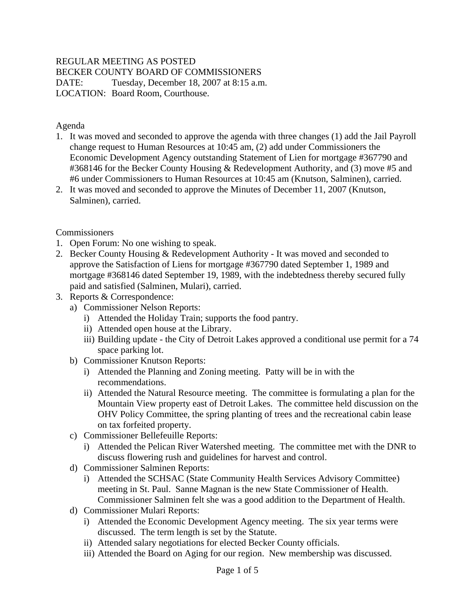#### REGULAR MEETING AS POSTED

BECKER COUNTY BOARD OF COMMISSIONERS

DATE: Tuesday, December 18, 2007 at 8:15 a.m. LOCATION: Board Room, Courthouse.

Agenda

- 1. It was moved and seconded to approve the agenda with three changes (1) add the Jail Payroll change request to Human Resources at 10:45 am, (2) add under Commissioners the Economic Development Agency outstanding Statement of Lien for mortgage #367790 and #368146 for the Becker County Housing & Redevelopment Authority, and (3) move #5 and #6 under Commissioners to Human Resources at 10:45 am (Knutson, Salminen), carried.
- 2. It was moved and seconded to approve the Minutes of December 11, 2007 (Knutson, Salminen), carried.

#### **Commissioners**

- 1. Open Forum: No one wishing to speak.
- 2. Becker County Housing & Redevelopment Authority It was moved and seconded to approve the Satisfaction of Liens for mortgage #367790 dated September 1, 1989 and mortgage #368146 dated September 19, 1989, with the indebtedness thereby secured fully paid and satisfied (Salminen, Mulari), carried.
- 3. Reports & Correspondence:
	- a) Commissioner Nelson Reports:
		- i) Attended the Holiday Train; supports the food pantry.
		- ii) Attended open house at the Library.
		- iii) Building update the City of Detroit Lakes approved a conditional use permit for a 74 space parking lot.
	- b) Commissioner Knutson Reports:
		- i) Attended the Planning and Zoning meeting. Patty will be in with the recommendations.
		- ii) Attended the Natural Resource meeting. The committee is formulating a plan for the Mountain View property east of Detroit Lakes. The committee held discussion on the OHV Policy Committee, the spring planting of trees and the recreational cabin lease on tax forfeited property.
	- c) Commissioner Bellefeuille Reports:
		- i) Attended the Pelican River Watershed meeting. The committee met with the DNR to discuss flowering rush and guidelines for harvest and control.
	- d) Commissioner Salminen Reports:
		- i) Attended the SCHSAC (State Community Health Services Advisory Committee) meeting in St. Paul. Sanne Magnan is the new State Commissioner of Health. Commissioner Salminen felt she was a good addition to the Department of Health.
	- d) Commissioner Mulari Reports:
		- i) Attended the Economic Development Agency meeting. The six year terms were discussed. The term length is set by the Statute.
		- ii) Attended salary negotiations for elected Becker County officials.
		- iii) Attended the Board on Aging for our region. New membership was discussed.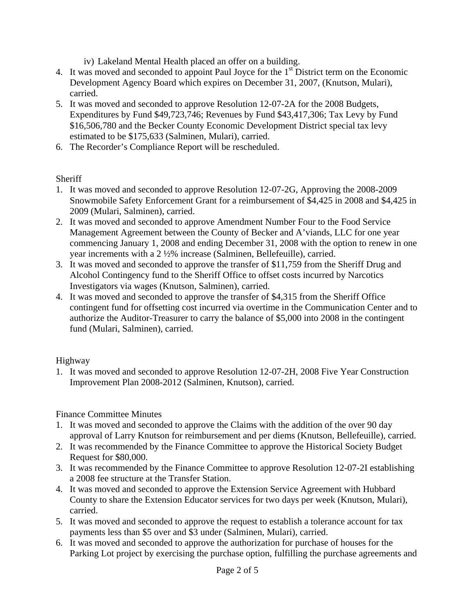- iv) Lakeland Mental Health placed an offer on a building.
- 4. It was moved and seconded to appoint Paul Joyce for the 1<sup>st</sup> District term on the Economic Development Agency Board which expires on December 31, 2007, (Knutson, Mulari), carried.
- 5. It was moved and seconded to approve Resolution 12-07-2A for the 2008 Budgets, Expenditures by Fund \$49,723,746; Revenues by Fund \$43,417,306; Tax Levy by Fund \$16,506,780 and the Becker County Economic Development District special tax levy estimated to be \$175,633 (Salminen, Mulari), carried.
- 6. The Recorder's Compliance Report will be rescheduled.

# **Sheriff**

- 1. It was moved and seconded to approve Resolution 12-07-2G, Approving the 2008-2009 Snowmobile Safety Enforcement Grant for a reimbursement of \$4,425 in 2008 and \$4,425 in 2009 (Mulari, Salminen), carried.
- 2. It was moved and seconded to approve Amendment Number Four to the Food Service Management Agreement between the County of Becker and A'viands, LLC for one year commencing January 1, 2008 and ending December 31, 2008 with the option to renew in one year increments with a 2 ½% increase (Salminen, Bellefeuille), carried.
- 3. It was moved and seconded to approve the transfer of \$11,759 from the Sheriff Drug and Alcohol Contingency fund to the Sheriff Office to offset costs incurred by Narcotics Investigators via wages (Knutson, Salminen), carried.
- 4. It was moved and seconded to approve the transfer of \$4,315 from the Sheriff Office contingent fund for offsetting cost incurred via overtime in the Communication Center and to authorize the Auditor-Treasurer to carry the balance of \$5,000 into 2008 in the contingent fund (Mulari, Salminen), carried.

## Highway

1. It was moved and seconded to approve Resolution 12-07-2H, 2008 Five Year Construction Improvement Plan 2008-2012 (Salminen, Knutson), carried.

# Finance Committee Minutes

- 1. It was moved and seconded to approve the Claims with the addition of the over 90 day approval of Larry Knutson for reimbursement and per diems (Knutson, Bellefeuille), carried.
- 2. It was recommended by the Finance Committee to approve the Historical Society Budget Request for \$80,000.
- 3. It was recommended by the Finance Committee to approve Resolution 12-07-2I establishing a 2008 fee structure at the Transfer Station.
- 4. It was moved and seconded to approve the Extension Service Agreement with Hubbard County to share the Extension Educator services for two days per week (Knutson, Mulari), carried.
- 5. It was moved and seconded to approve the request to establish a tolerance account for tax payments less than \$5 over and \$3 under (Salminen, Mulari), carried.
- 6. It was moved and seconded to approve the authorization for purchase of houses for the Parking Lot project by exercising the purchase option, fulfilling the purchase agreements and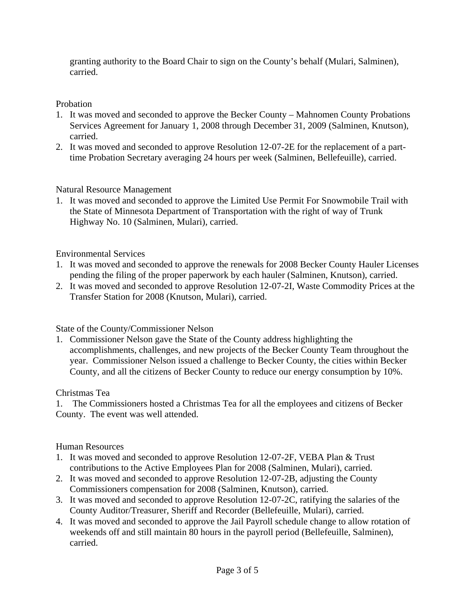granting authority to the Board Chair to sign on the County's behalf (Mulari, Salminen), carried.

## Probation

- 1. It was moved and seconded to approve the Becker County Mahnomen County Probations Services Agreement for January 1, 2008 through December 31, 2009 (Salminen, Knutson), carried.
- 2. It was moved and seconded to approve Resolution 12-07-2E for the replacement of a parttime Probation Secretary averaging 24 hours per week (Salminen, Bellefeuille), carried.

# Natural Resource Management

1. It was moved and seconded to approve the Limited Use Permit For Snowmobile Trail with the State of Minnesota Department of Transportation with the right of way of Trunk Highway No. 10 (Salminen, Mulari), carried.

# Environmental Services

- 1. It was moved and seconded to approve the renewals for 2008 Becker County Hauler Licenses pending the filing of the proper paperwork by each hauler (Salminen, Knutson), carried.
- 2. It was moved and seconded to approve Resolution 12-07-2I, Waste Commodity Prices at the Transfer Station for 2008 (Knutson, Mulari), carried.

# State of the County/Commissioner Nelson

1. Commissioner Nelson gave the State of the County address highlighting the accomplishments, challenges, and new projects of the Becker County Team throughout the year. Commissioner Nelson issued a challenge to Becker County, the cities within Becker County, and all the citizens of Becker County to reduce our energy consumption by 10%.

## Christmas Tea

1. The Commissioners hosted a Christmas Tea for all the employees and citizens of Becker County. The event was well attended.

## Human Resources

- 1. It was moved and seconded to approve Resolution 12-07-2F, VEBA Plan & Trust contributions to the Active Employees Plan for 2008 (Salminen, Mulari), carried.
- 2. It was moved and seconded to approve Resolution 12-07-2B, adjusting the County Commissioners compensation for 2008 (Salminen, Knutson), carried.
- 3. It was moved and seconded to approve Resolution 12-07-2C, ratifying the salaries of the County Auditor/Treasurer, Sheriff and Recorder (Bellefeuille, Mulari), carried.
- 4. It was moved and seconded to approve the Jail Payroll schedule change to allow rotation of weekends off and still maintain 80 hours in the payroll period (Bellefeuille, Salminen), carried.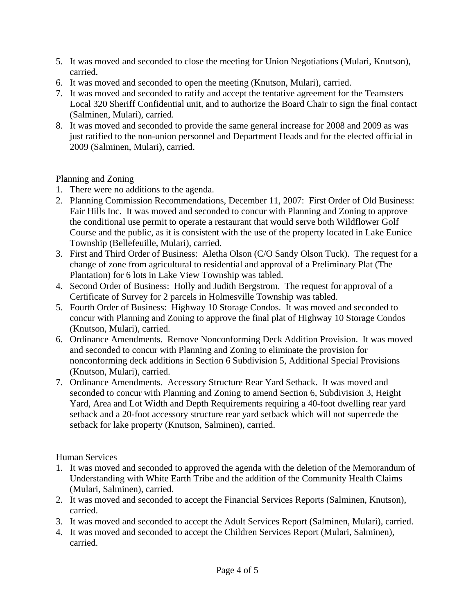- 5. It was moved and seconded to close the meeting for Union Negotiations (Mulari, Knutson), carried.
- 6. It was moved and seconded to open the meeting (Knutson, Mulari), carried.
- 7. It was moved and seconded to ratify and accept the tentative agreement for the Teamsters Local 320 Sheriff Confidential unit, and to authorize the Board Chair to sign the final contact (Salminen, Mulari), carried.
- 8. It was moved and seconded to provide the same general increase for 2008 and 2009 as was just ratified to the non-union personnel and Department Heads and for the elected official in 2009 (Salminen, Mulari), carried.

Planning and Zoning

- 1. There were no additions to the agenda.
- 2. Planning Commission Recommendations, December 11, 2007: First Order of Old Business: Fair Hills Inc. It was moved and seconded to concur with Planning and Zoning to approve the conditional use permit to operate a restaurant that would serve both Wildflower Golf Course and the public, as it is consistent with the use of the property located in Lake Eunice Township (Bellefeuille, Mulari), carried.
- 3. First and Third Order of Business: Aletha Olson (C/O Sandy Olson Tuck). The request for a change of zone from agricultural to residential and approval of a Preliminary Plat (The Plantation) for 6 lots in Lake View Township was tabled.
- 4. Second Order of Business: Holly and Judith Bergstrom. The request for approval of a Certificate of Survey for 2 parcels in Holmesville Township was tabled.
- 5. Fourth Order of Business: Highway 10 Storage Condos. It was moved and seconded to concur with Planning and Zoning to approve the final plat of Highway 10 Storage Condos (Knutson, Mulari), carried.
- 6. Ordinance Amendments. Remove Nonconforming Deck Addition Provision. It was moved and seconded to concur with Planning and Zoning to eliminate the provision for nonconforming deck additions in Section 6 Subdivision 5, Additional Special Provisions (Knutson, Mulari), carried.
- 7. Ordinance Amendments. Accessory Structure Rear Yard Setback. It was moved and seconded to concur with Planning and Zoning to amend Section 6, Subdivision 3, Height Yard, Area and Lot Width and Depth Requirements requiring a 40-foot dwelling rear yard setback and a 20-foot accessory structure rear yard setback which will not supercede the setback for lake property (Knutson, Salminen), carried.

Human Services

- 1. It was moved and seconded to approved the agenda with the deletion of the Memorandum of Understanding with White Earth Tribe and the addition of the Community Health Claims (Mulari, Salminen), carried.
- 2. It was moved and seconded to accept the Financial Services Reports (Salminen, Knutson), carried.
- 3. It was moved and seconded to accept the Adult Services Report (Salminen, Mulari), carried.
- 4. It was moved and seconded to accept the Children Services Report (Mulari, Salminen), carried.